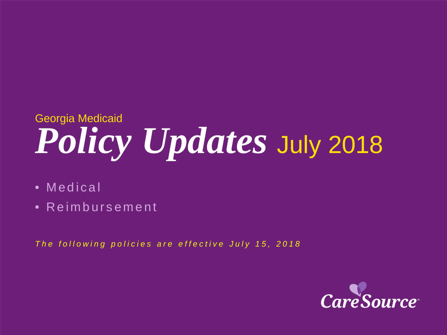# *Policy Updates* July 2018 Georgia Medicaid

- Medical
- Reimbursement

*The following policies are effective July 15, 2018*

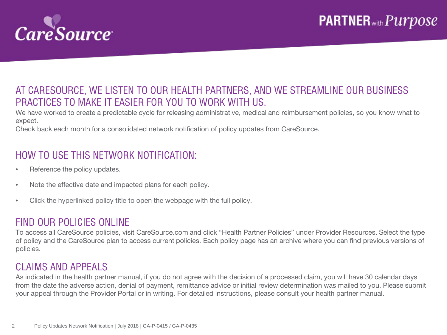

#### AT CARESOURCE, WE LISTEN TO OUR HEALTH PARTNERS, AND WE STREAMLINE OUR BUSINESS PRACTICES TO MAKE IT EASIER FOR YOU TO WORK WITH US.

We have worked to create a predictable cycle for releasing administrative, medical and reimbursement policies, so you know what to expect.

Check back each month for a consolidated network notification of policy updates from CareSource.

### HOW TO USE THIS NETWORK NOTIFICATION:

- Reference the policy updates.
- Note the effective date and impacted plans for each policy.
- Click the hyperlinked policy title to open the webpage with the full policy.

#### FIND OUR POLICIES ONLINE

To access all CareSource policies, visit CareSource.com and click "Health Partner Policies" under Provider Resources. Select the type of policy and the CareSource plan to access current policies. Each policy page has an archive where you can find previous versions of policies.

#### CLAIMS AND APPEALS

As indicated in the health partner manual, if you do not agree with the decision of a processed claim, you will have 30 calendar days from the date the adverse action, denial of payment, remittance advice or initial review determination was mailed to you. Please submit your appeal through the Provider Portal or in writing. For detailed instructions, please consult your health partner manual.